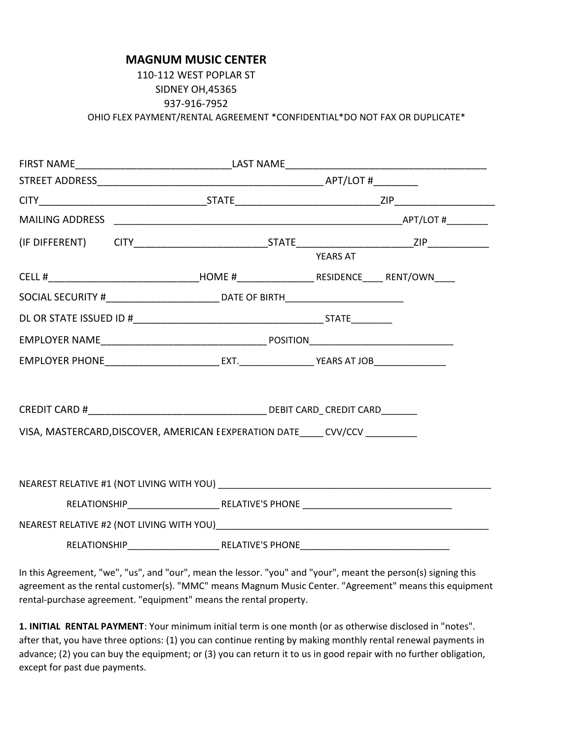## **MAGNUM MUSIC CENTER**

## 110-112 WEST POPLAR ST SIDNEY OH,45365 937-916-7952 OHIO FLEX PAYMENT/RENTAL AGREEMENT \*CONFIDENTIAL\*DO NOT FAX OR DUPLICATE\*

|                                                                              |                                                                                          |  | <b>YEARS AT</b> |  |  |  |
|------------------------------------------------------------------------------|------------------------------------------------------------------------------------------|--|-----------------|--|--|--|
|                                                                              |                                                                                          |  |                 |  |  |  |
|                                                                              | SOCIAL SECURITY #________________________________ DATE OF BIRTH_________________________ |  |                 |  |  |  |
|                                                                              |                                                                                          |  |                 |  |  |  |
|                                                                              |                                                                                          |  |                 |  |  |  |
|                                                                              |                                                                                          |  |                 |  |  |  |
|                                                                              |                                                                                          |  |                 |  |  |  |
|                                                                              |                                                                                          |  |                 |  |  |  |
| VISA, MASTERCARD, DISCOVER, AMERICAN EEXPERATION DATE_____ CVV/CCV _________ |                                                                                          |  |                 |  |  |  |
|                                                                              |                                                                                          |  |                 |  |  |  |
|                                                                              |                                                                                          |  |                 |  |  |  |
|                                                                              |                                                                                          |  |                 |  |  |  |
|                                                                              |                                                                                          |  |                 |  |  |  |
|                                                                              |                                                                                          |  |                 |  |  |  |
|                                                                              |                                                                                          |  |                 |  |  |  |
|                                                                              |                                                                                          |  |                 |  |  |  |

In this Agreement, "we", "us", and "our", mean the lessor. "you" and "your", meant the person(s) signing this agreement as the rental customer(s). "MMC" means Magnum Music Center. "Agreement" means this equipment rental-purchase agreement. "equipment" means the rental property.

**1. INITIAL RENTAL PAYMENT**: Your minimum initial term is one month (or as otherwise disclosed in "notes". after that, you have three options: (1) you can continue renting by making monthly rental renewal payments in advance; (2) you can buy the equipment; or (3) you can return it to us in good repair with no further obligation, except for past due payments.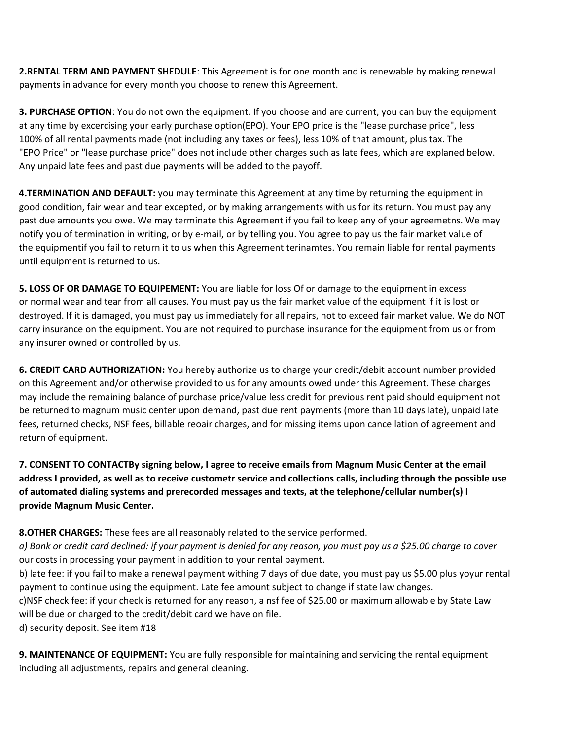**2.RENTAL TERM AND PAYMENT SHEDULE**: This Agreement is for one month and is renewable by making renewal payments in advance for every month you choose to renew this Agreement.

**3. PURCHASE OPTION**: You do not own the equipment. If you choose and are current, you can buy the equipment at any time by excercising your early purchase option(EPO). Your EPO price is the "lease purchase price", less 100% of all rental payments made (not including any taxes or fees), less 10% of that amount, plus tax. The "EPO Price" or "lease purchase price" does not include other charges such as late fees, which are explaned below. Any unpaid late fees and past due payments will be added to the payoff.

**4.TERMINATION AND DEFAULT:** you may terminate this Agreement at any time by returning the equipment in good condition, fair wear and tear excepted, or by making arrangements with us for its return. You must pay any past due amounts you owe. We may terminate this Agreement if you fail to keep any of your agreemetns. We may notify you of termination in writing, or by e-mail, or by telling you. You agree to pay us the fair market value of the equipmentif you fail to return it to us when this Agreement terinamtes. You remain liable for rental payments until equipment is returned to us.

**5. LOSS OF OR DAMAGE TO EQUIPEMENT:** You are liable for loss Of or damage to the equipment in excess or normal wear and tear from all causes. You must pay us the fair market value of the equipment if it is lost or destroyed. If it is damaged, you must pay us immediately for all repairs, not to exceed fair market value. We do NOT carry insurance on the equipment. You are not required to purchase insurance for the equipment from us or from any insurer owned or controlled by us.

**6. CREDIT CARD AUTHORIZATION:** You hereby authorize us to charge your credit/debit account number provided on this Agreement and/or otherwise provided to us for any amounts owed under this Agreement. These charges may include the remaining balance of purchase price/value less credit for previous rent paid should equipment not be returned to magnum music center upon demand, past due rent payments (more than 10 days late), unpaid late fees, returned checks, NSF fees, billable reoair charges, and for missing items upon cancellation of agreement and return of equipment.

**7. CONSENT TO CONTACTBy signing below, I agree to receive emails from Magnum Music Center at the email address I provided, as well as to receive custometr service and collections calls, including through the possible use of automated dialing systems and prerecorded messages and texts, at the telephone/cellular number(s) I provide Magnum Music Center.**

**8.OTHER CHARGES:** These fees are all reasonably related to the service performed.

*a) Bank or credit card declined: if your payment is denied for any reason, you must pay us a \$25.00 charge to cover* our costs in processing your payment in addition to your rental payment.

b) late fee: if you fail to make a renewal payment withing 7 days of due date, you must pay us \$5.00 plus yoyur rental payment to continue using the equipment. Late fee amount subject to change if state law changes.

c)NSF check fee: if your check is returned for any reason, a nsf fee of \$25.00 or maximum allowable by State Law will be due or charged to the credit/debit card we have on file.

d) security deposit. See item #18

**9. MAINTENANCE OF EQUIPMENT:** You are fully responsible for maintaining and servicing the rental equipment including all adjustments, repairs and general cleaning.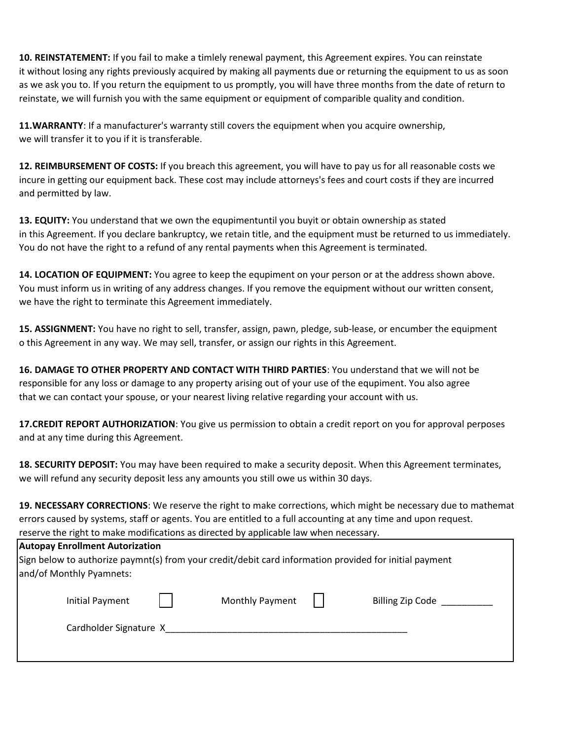**10. REINSTATEMENT:** If you fail to make a timlely renewal payment, this Agreement expires. You can reinstate it without losing any rights previously acquired by making all payments due or returning the equipment to us as soon as we ask you to. If you return the equipment to us promptly, you will have three months from the date of return to reinstate, we will furnish you with the same equipment or equipment of comparible quality and condition.

**11.WARRANTY**: If a manufacturer's warranty still covers the equipment when you acquire ownership, we will transfer it to you if it is transferable.

**12. REIMBURSEMENT OF COSTS:** If you breach this agreement, you will have to pay us for all reasonable costs we incure in getting our equipment back. These cost may include attorneys's fees and court costs if they are incurred and permitted by law.

**13. EQUITY:** You understand that we own the equpimentuntil you buyit or obtain ownership as stated in this Agreement. If you declare bankruptcy, we retain title, and the equipment must be returned to us immediately. You do not have the right to a refund of any rental payments when this Agreement is terminated.

**14. LOCATION OF EQUIPMENT:** You agree to keep the equpiment on your person or at the address shown above. You must inform us in writing of any address changes. If you remove the equipment without our written consent, we have the right to terminate this Agreement immediately.

**15. ASSIGNMENT:** You have no right to sell, transfer, assign, pawn, pledge, sub-lease, or encumber the equipment o this Agreement in any way. We may sell, transfer, or assign our rights in this Agreement.

**16. DAMAGE TO OTHER PROPERTY AND CONTACT WITH THIRD PARTIES**: You understand that we will not be responsible for any loss or damage to any property arising out of your use of the equpiment. You also agree that we can contact your spouse, or your nearest living relative regarding your account with us.

**17.CREDIT REPORT AUTHORIZATION**: You give us permission to obtain a credit report on you for approval perposes and at any time during this Agreement.

**18. SECURITY DEPOSIT:** You may have been required to make a security deposit. When this Agreement terminates, we will refund any security deposit less any amounts you still owe us within 30 days.

**19. NECESSARY CORRECTIONS**: We reserve the right to make corrections, which might be necessary due to mathemat errors caused by systems, staff or agents. You are entitled to a full accounting at any time and upon request. reserve the right to make modifications as directed by applicable law when necessary.

| <b>Autopay Enrollment Autorization</b><br>Sign below to authorize paymnt(s) from your credit/debit card information provided for initial payment |  |                        |  |                  |  |  |
|--------------------------------------------------------------------------------------------------------------------------------------------------|--|------------------------|--|------------------|--|--|
| and/of Monthly Pyamnets:                                                                                                                         |  |                        |  |                  |  |  |
| Initial Payment                                                                                                                                  |  | <b>Monthly Payment</b> |  | Billing Zip Code |  |  |
| Cardholder Signature X                                                                                                                           |  |                        |  |                  |  |  |
|                                                                                                                                                  |  |                        |  |                  |  |  |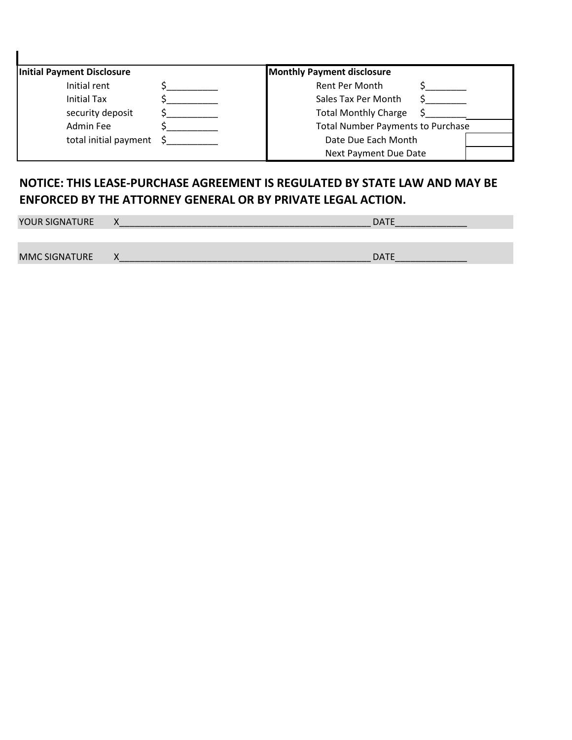| Initial Payment Disclosure    | <b>Monthly Payment disclosure</b>        |
|-------------------------------|------------------------------------------|
| Initial rent                  | Rent Per Month                           |
| <b>Initial Tax</b>            | Sales Tax Per Month                      |
| security deposit              | <b>Total Monthly Charge</b>              |
| Admin Fee                     | <b>Total Number Payments to Purchase</b> |
| total initial payment $\oint$ | Date Due Each Month                      |
|                               | Next Payment Due Date                    |

## **NOTICE: THIS LEASE-PURCHASE AGREEMENT IS REGULATED BY STATE LAW AND MAY BE ENFORCED BY THE ATTORNEY GENERAL OR BY PRIVATE LEGAL ACTION.**

**YOUR SIGNATURE X** 

 $\mathbf{I}$ 

MMC SIGNATURE X\_\_\_\_\_\_\_\_\_\_\_\_\_\_\_\_\_\_\_\_\_\_\_\_\_\_\_\_\_\_\_\_\_\_\_\_\_\_\_\_\_\_\_\_\_\_\_\_\_DATE\_\_\_\_\_\_\_\_\_\_\_\_\_\_